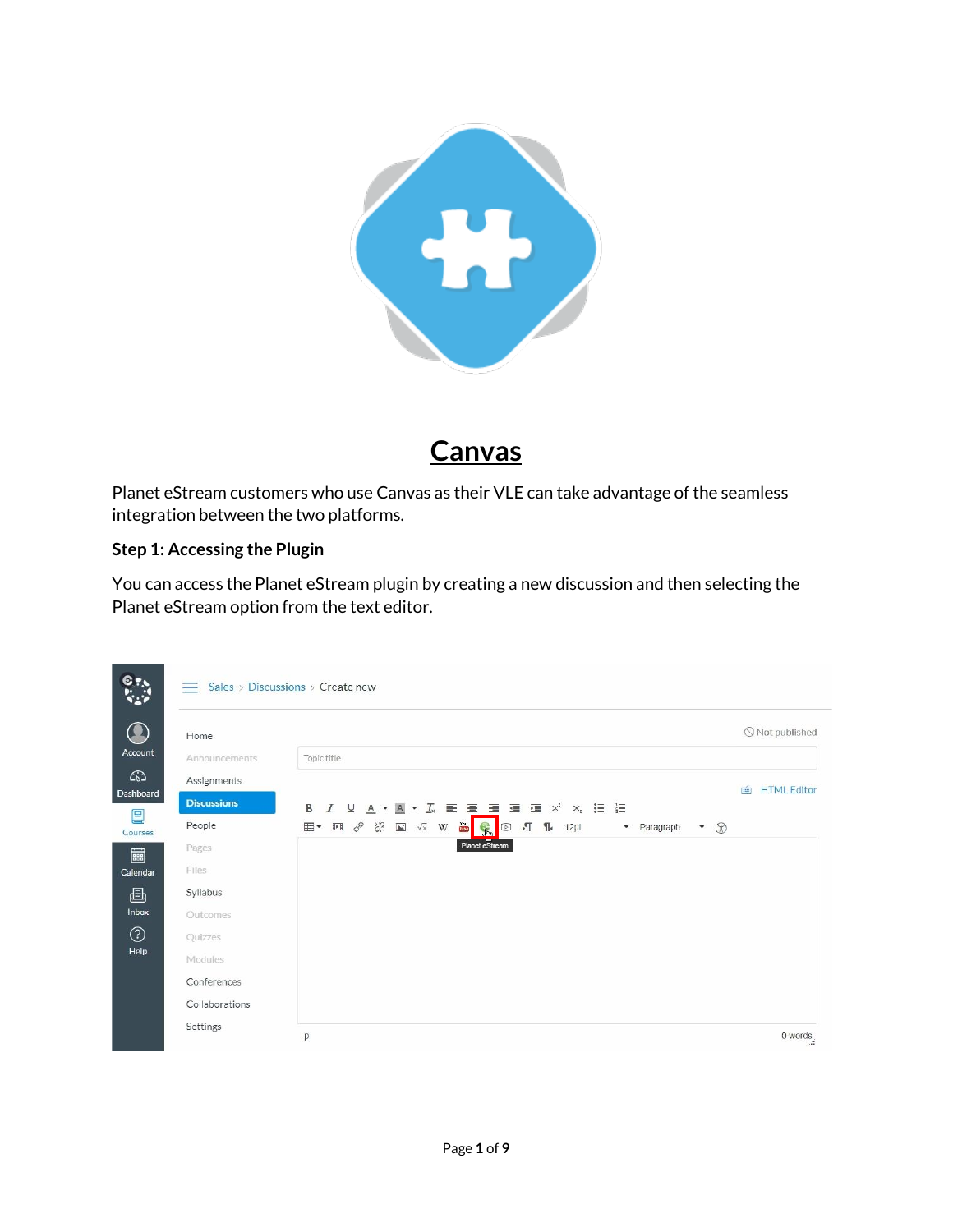

# **Canvas**

Planet eStream customers who use Canvas as their VLE can take advantage of the seamless integration between the two platforms.

# **Step 1: Accessing the Plugin**

You can access the Planet eStream plugin by creating a new discussion and then selecting the Planet eStream option from the text editor.

| $e_{r}$      | $-$                | Sales > Discussions > Create new                                                                                                                                                                                                                                                                                                                                                                                                                                                                                  |                         |
|--------------|--------------------|-------------------------------------------------------------------------------------------------------------------------------------------------------------------------------------------------------------------------------------------------------------------------------------------------------------------------------------------------------------------------------------------------------------------------------------------------------------------------------------------------------------------|-------------------------|
|              | Home               |                                                                                                                                                                                                                                                                                                                                                                                                                                                                                                                   | Not published           |
| Account      | Announcements      | Topic title                                                                                                                                                                                                                                                                                                                                                                                                                                                                                                       |                         |
| $\Omega$     | Assignments        |                                                                                                                                                                                                                                                                                                                                                                                                                                                                                                                   | <b>HTML Editor</b><br>面 |
| Dashboard    | <b>Discussions</b> | $\underline{U} \quad \underline{A} \quad \bullet \quad \underline{M} \quad \bullet \quad \underline{J}_x \quad \underline{E} \quad \underline{E} \quad \underline{H} \quad \underline{H} \quad \underline{H} \quad \times^2$<br>$x_i$ $\equiv$ $\equiv$<br>B<br>$\overline{I}$                                                                                                                                                                                                                                    |                         |
| 囯<br>Courses | People             | $\begin{picture}(16,15) \put(0,0){\vector(0,15){10}} \put(15,0){\vector(0,15){10}} \put(15,0){\vector(0,15){10}} \put(15,0){\vector(0,15){10}} \put(15,0){\vector(0,15){10}} \put(15,0){\vector(0,15){10}} \put(15,0){\vector(0,15){10}} \put(15,0){\vector(0,15){10}} \put(15,0){\vector(0,15){10}} \put(15,0){\vector(0,15){10}} \put(15,0){\vector(0,15){10}} \$<br>You<br>Lube<br>⊞ ▼<br>$\sqrt{1}$<br>$\P$<br>$\mathbb{R}$<br>$\boxed{\triangleright}$<br>12pt<br>- Paragraph<br>$\circledR$<br>$\mathbf{v}$ |                         |
| ■            | Pages              | Planet eStream                                                                                                                                                                                                                                                                                                                                                                                                                                                                                                    |                         |
| Calendar     | Files              |                                                                                                                                                                                                                                                                                                                                                                                                                                                                                                                   |                         |
| 画            | Syllabus           |                                                                                                                                                                                                                                                                                                                                                                                                                                                                                                                   |                         |
| Inbox        | Outcomes           |                                                                                                                                                                                                                                                                                                                                                                                                                                                                                                                   |                         |
| ා            | Quizzes            |                                                                                                                                                                                                                                                                                                                                                                                                                                                                                                                   |                         |
| Help         | Modules            |                                                                                                                                                                                                                                                                                                                                                                                                                                                                                                                   |                         |
|              | Conferences        |                                                                                                                                                                                                                                                                                                                                                                                                                                                                                                                   |                         |
|              | Collaborations     |                                                                                                                                                                                                                                                                                                                                                                                                                                                                                                                   |                         |
|              | Settings           | p                                                                                                                                                                                                                                                                                                                                                                                                                                                                                                                 | 0 words                 |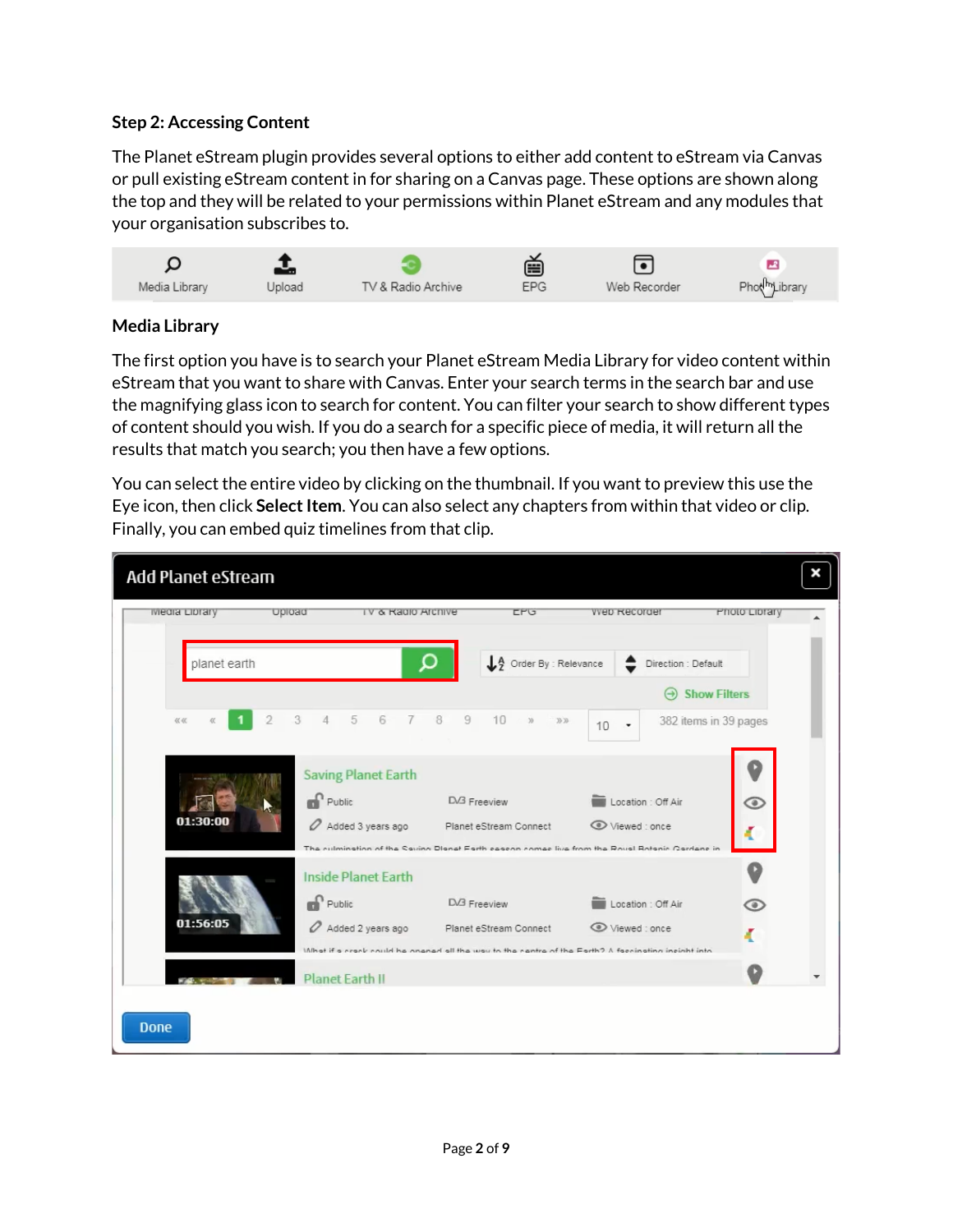#### **Step 2: Accessing Content**

The Planet eStream plugin provides several options to either add content to eStream via Canvas or pull existing eStream content in for sharing on a Canvas page. These options are shown along the top and they will be related to your permissions within Planet eStream and any modules that your organisation subscribes to.



## **Media Library**

The first option you have is to search your Planet eStream Media Library for video content within eStream that you want to share with Canvas. Enter your search terms in the search bar and use the magnifying glass icon to search for content. You can filter your search to show different types of content should you wish. If you do a search for a specific piece of media, it will return all the results that match you search; you then have a few options.

You can select the entire video by clicking on the thumbnail. If you want to preview this use the Eye icon, then click **Select Item**. You can also select any chapters from within that video or clip. Finally, you can embed quiz timelines from that clip.

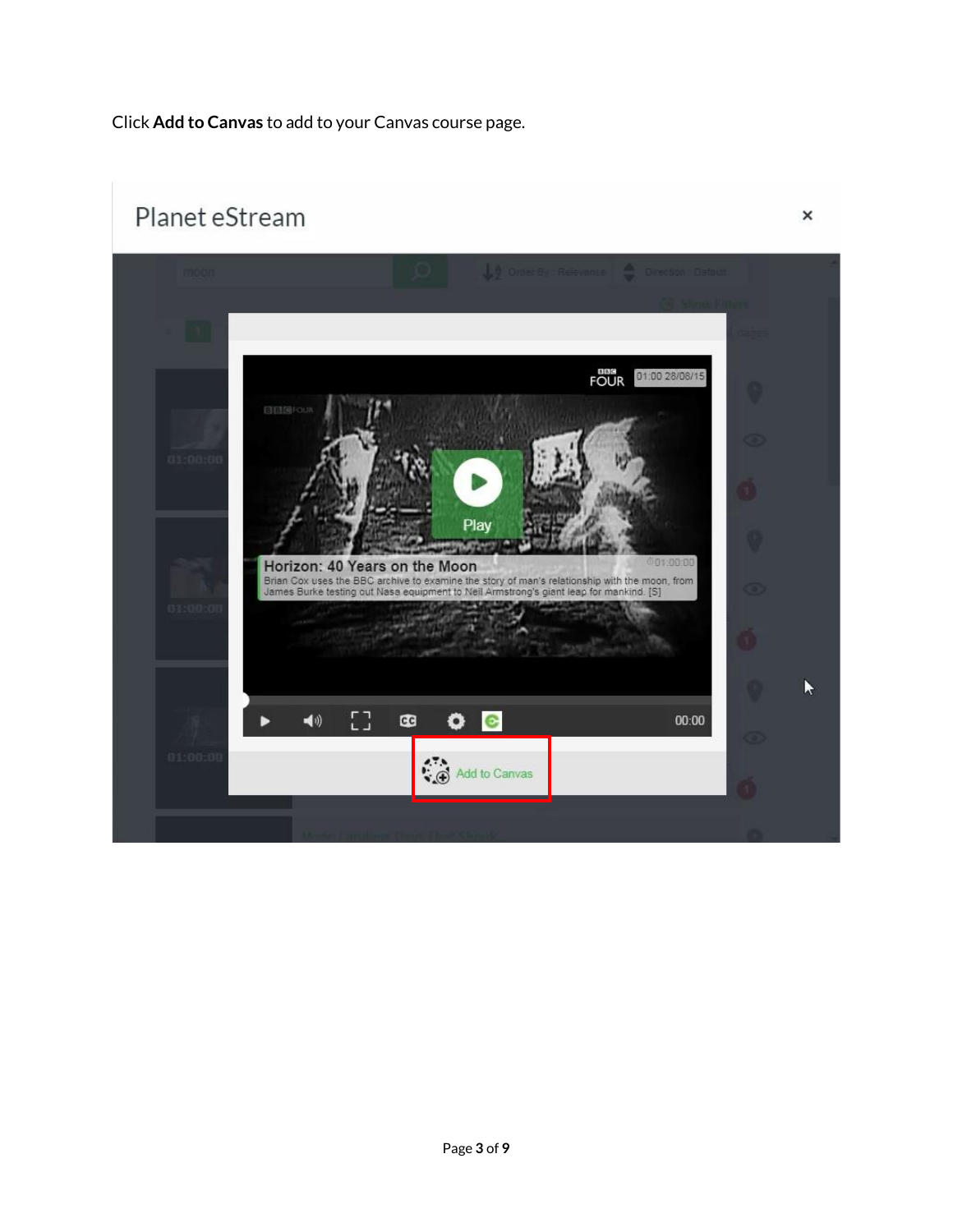Click **Add to Canvas** to add to your Canvas course page.

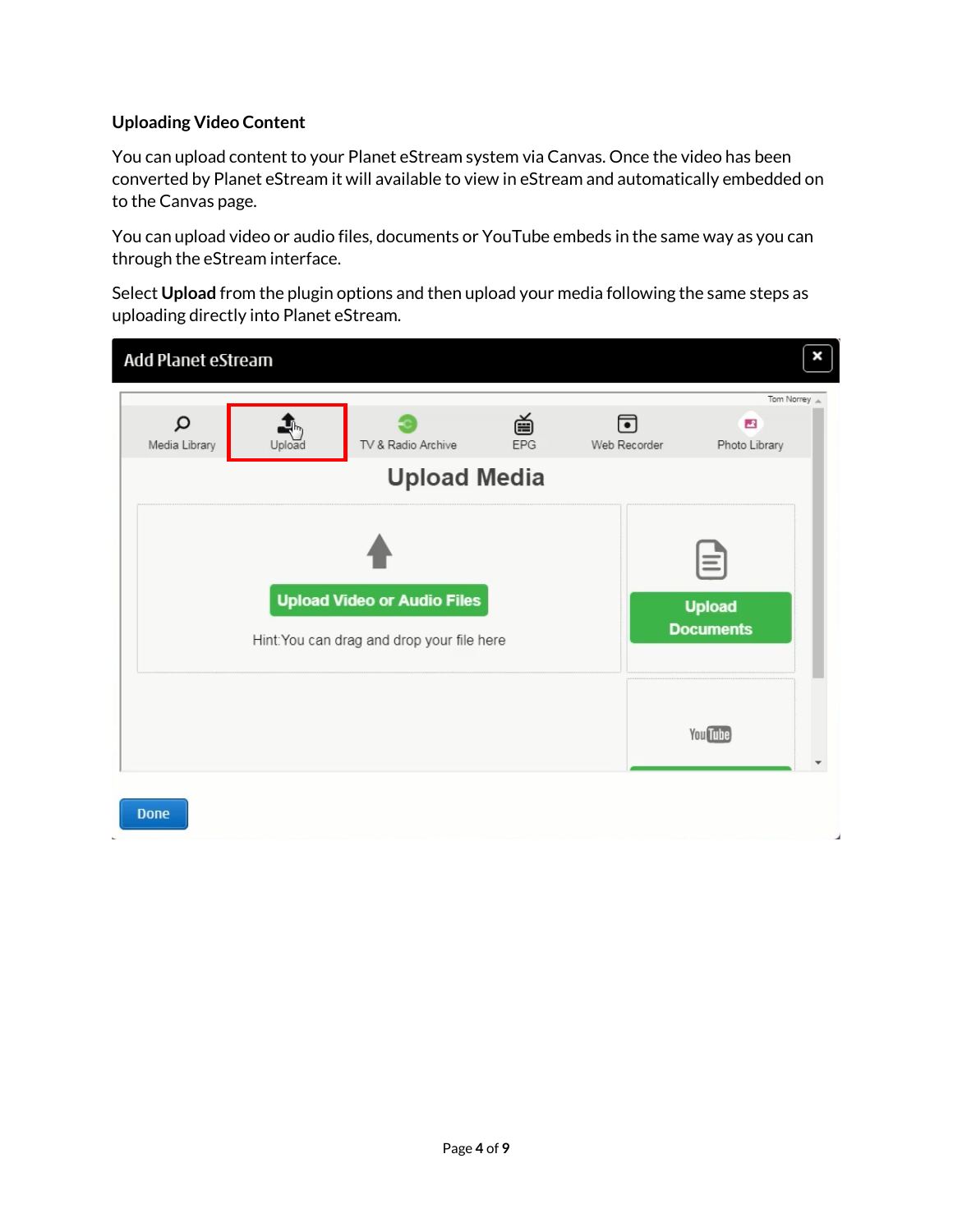## **Uploading Video Content**

You can upload content to your Planet eStream system via Canvas. Once the video has been converted by Planet eStream it will available to view in eStream and automatically embedded on to the Canvas page.

You can upload video or audio files, documents or YouTube embeds in the same way as you can through the eStream interface.

Select **Upload** from the plugin options and then upload your media following the same steps as uploading directly into Planet eStream.

| Add Planet eStream |                                                                                  |                                           |                                               |                   | ×                                              |
|--------------------|----------------------------------------------------------------------------------|-------------------------------------------|-----------------------------------------------|-------------------|------------------------------------------------|
| Q<br>Media Library | Upload                                                                           | TV & Radio Archive<br><b>Upload Media</b> | 曽<br>EPG                                      | 同<br>Web Recorder | Tom Norrey A<br>$\mathcal{A}$<br>Photo Library |
|                    | <b>Upload Video or Audio Files</b><br>Hint: You can drag and drop your file here |                                           | $\equiv$<br><b>Upload</b><br><b>Documents</b> |                   |                                                |
|                    |                                                                                  |                                           |                                               |                   | <b>You Tube</b>                                |
| <b>Done</b>        |                                                                                  |                                           |                                               |                   |                                                |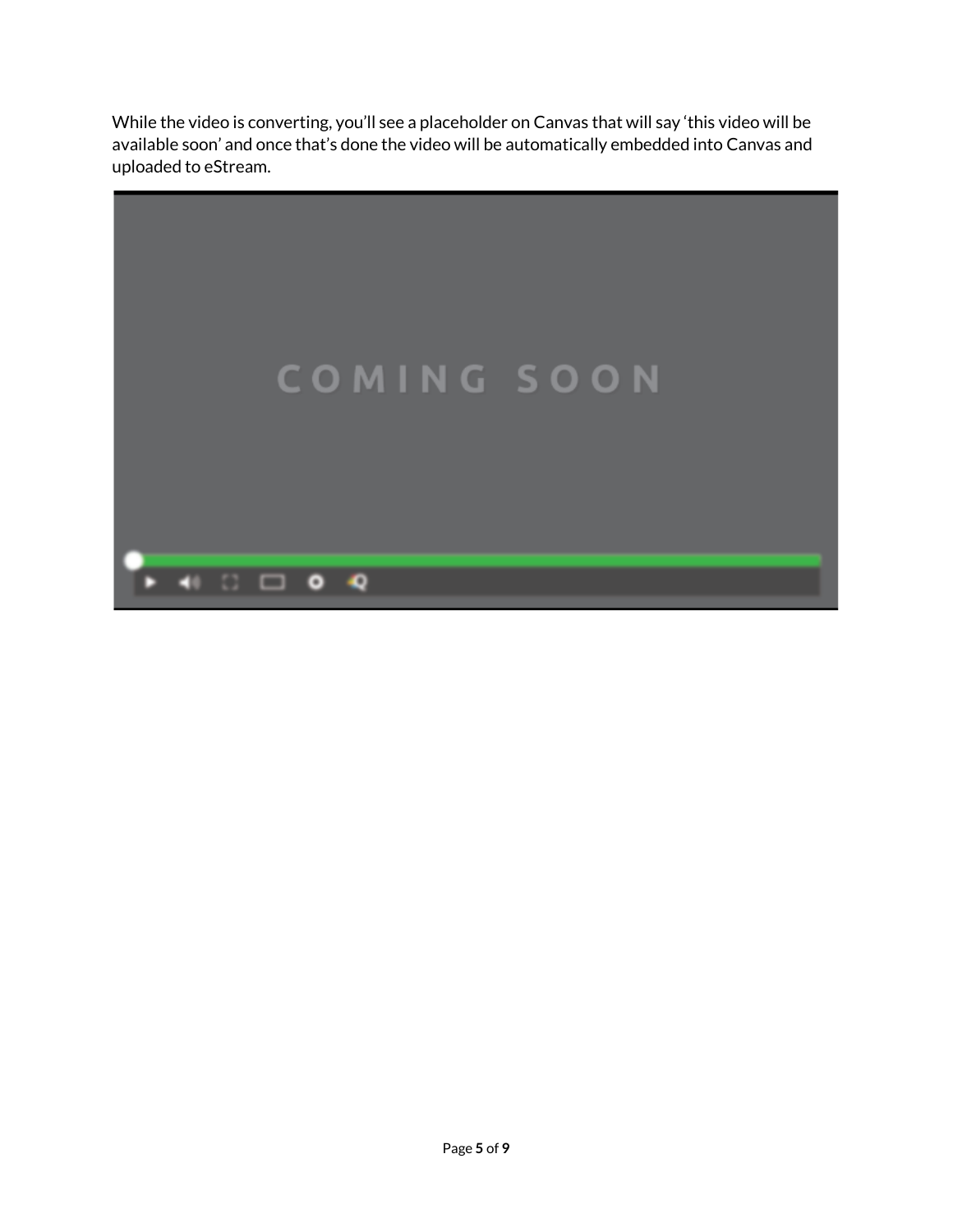While the video is converting, you'll see a placeholder on Canvas that will say 'this video will be available soon' and once that's done the video will be automatically embedded into Canvas and uploaded to eStream.

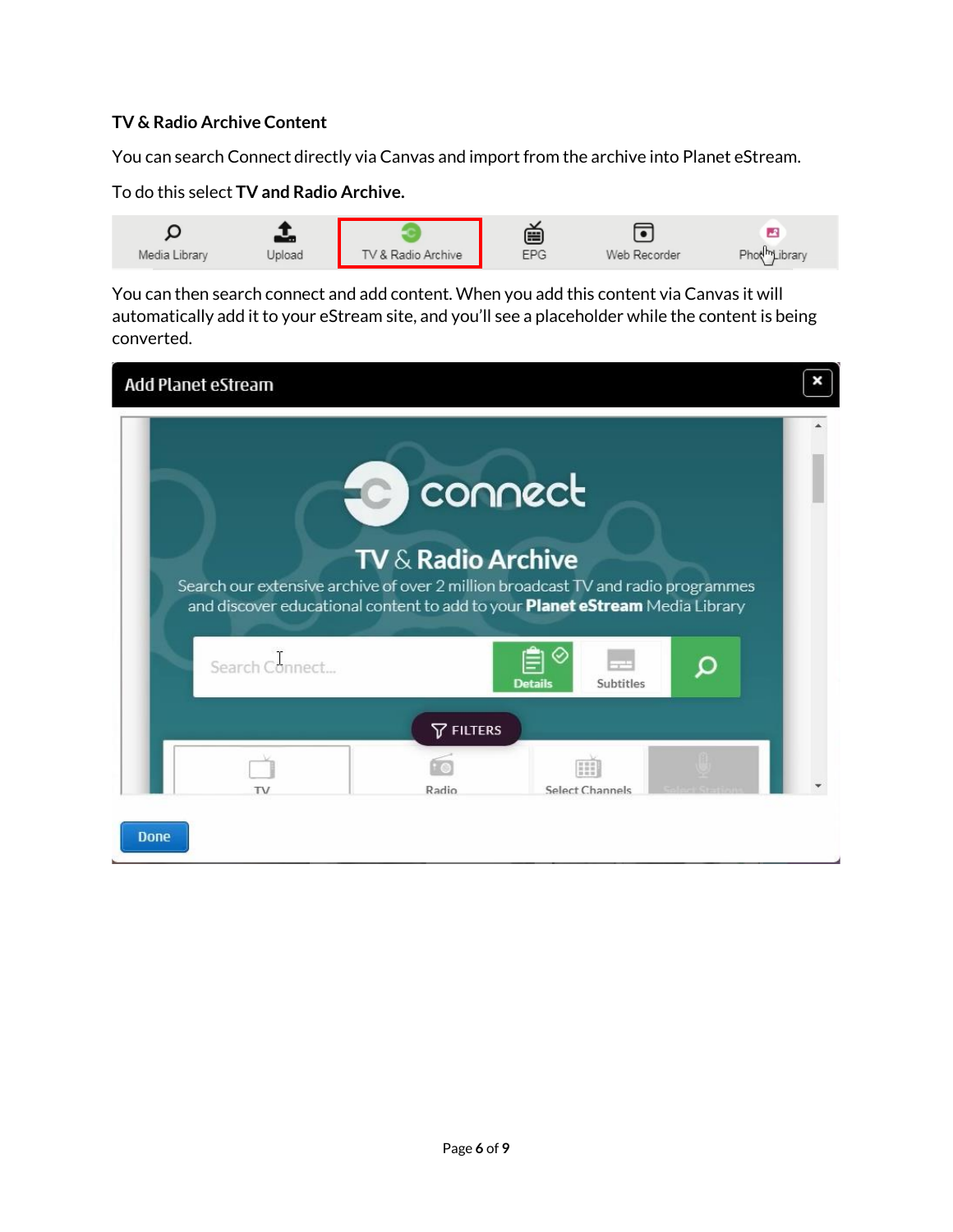### **TV & Radio Archive Content**

You can search Connect directly via Canvas and import from the archive into Planet eStream.

#### To do this select **TV and Radio Archive.**



You can then search connect and add content. When you add this content via Canvas it will automatically add it to your eStream site, and you'll see a placeholder while the content is being converted.

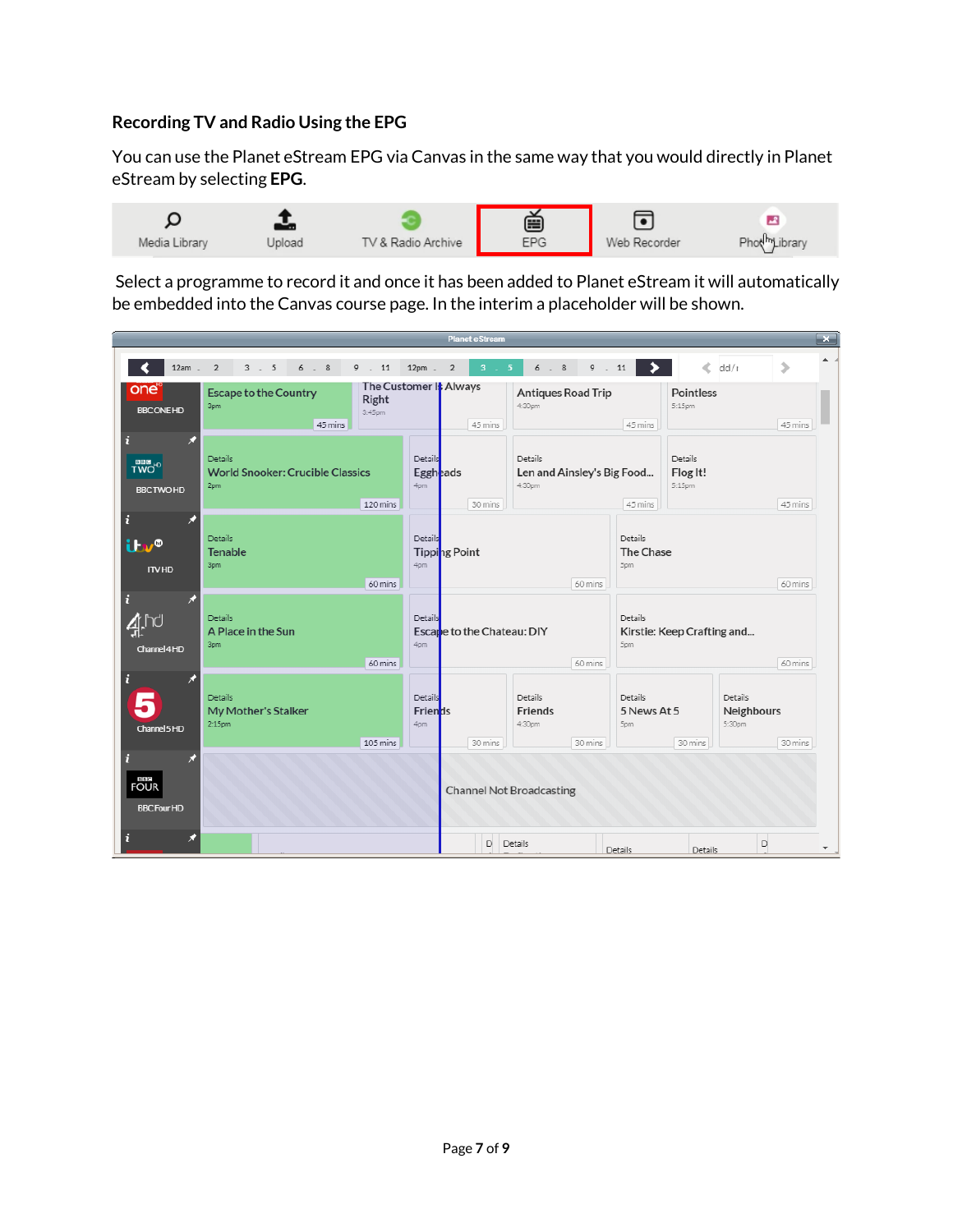## **Recording TV and Radio Using the EPG**

You can use the Planet eStream EPG via Canvas in the same way that you would directly in Planet eStream by selecting **EPG**.



Select a programme to record it and once it has been added to Planet eStream it will automatically be embedded into the Canvas course page. In the interim a placeholder will be shown.

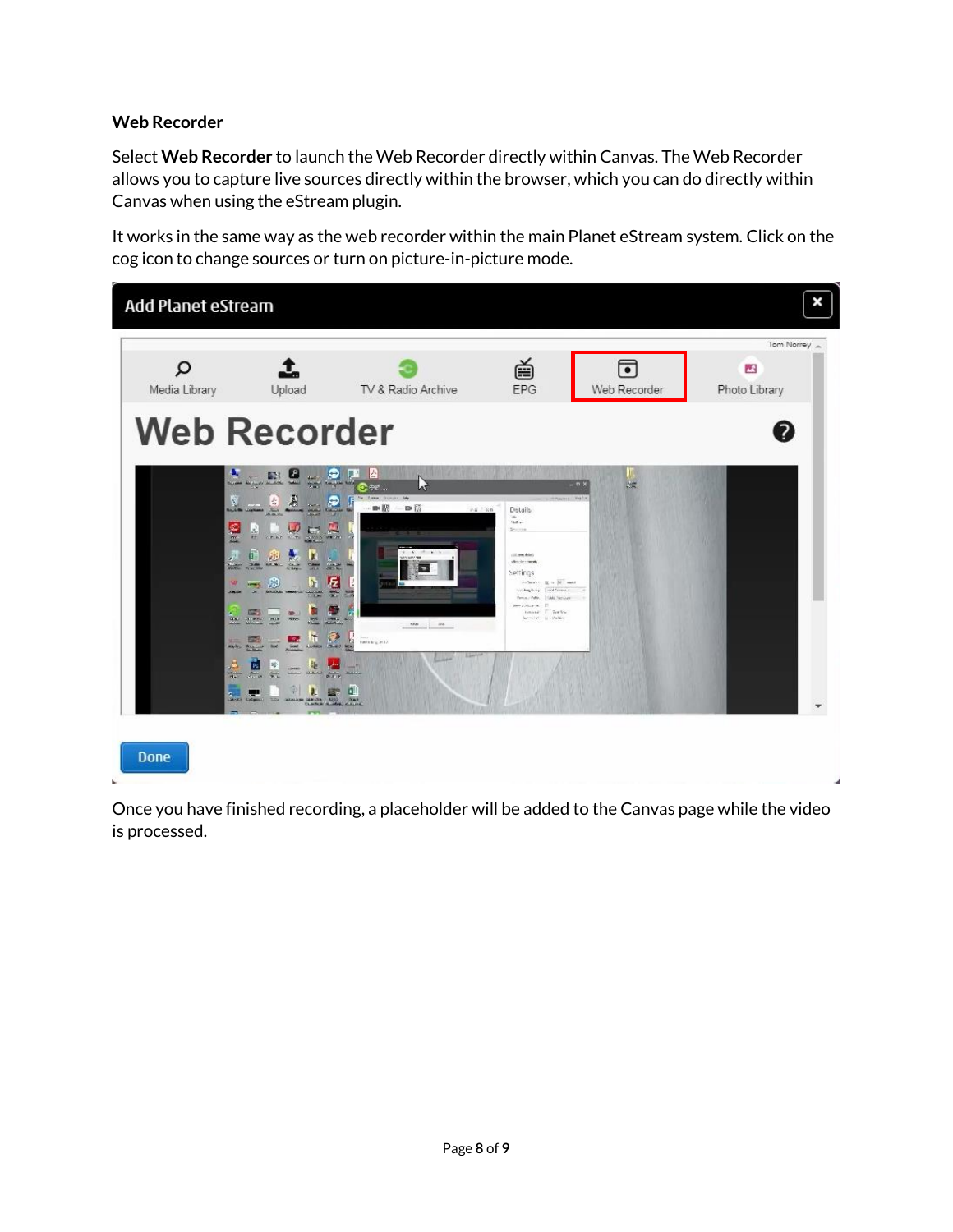## **Web Recorder**

Select **Web Recorder** to launch the Web Recorder directly within Canvas. The Web Recorder allows you to capture live sources directly within the browser, which you can do directly within Canvas when using the eStream plugin.

It works in the same way as the web recorder within the main Planet eStream system. Click on the cog icon to change sources or turn on picture-in-picture mode.



Once you have finished recording, a placeholder will be added to the Canvas page while the video is processed.